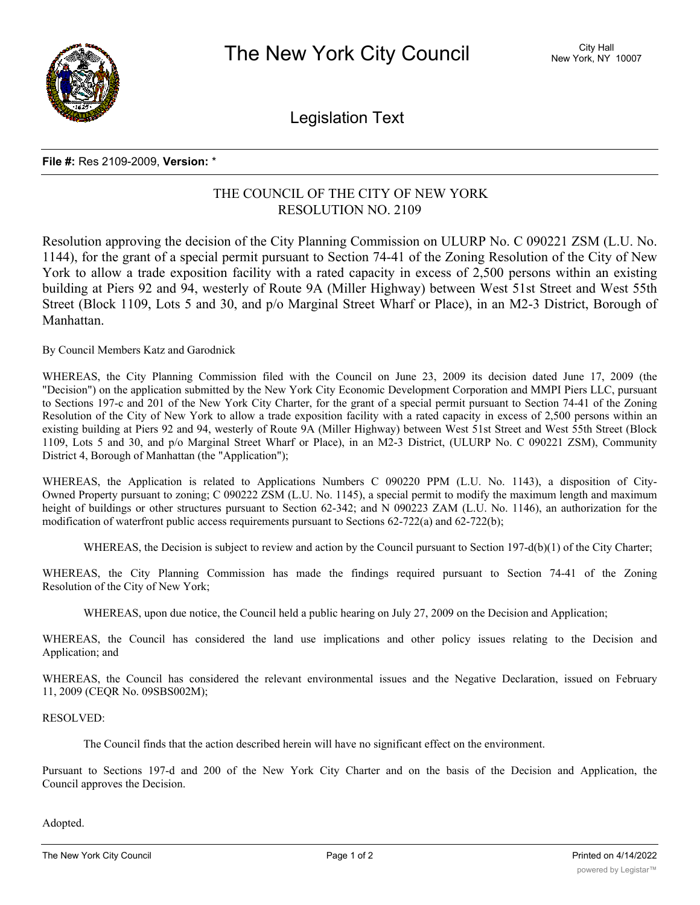

Legislation Text

## **File #:** Res 2109-2009, **Version:** \*

## THE COUNCIL OF THE CITY OF NEW YORK RESOLUTION NO. 2109

Resolution approving the decision of the City Planning Commission on ULURP No. C 090221 ZSM (L.U. No. 1144), for the grant of a special permit pursuant to Section 74-41 of the Zoning Resolution of the City of New York to allow a trade exposition facility with a rated capacity in excess of 2,500 persons within an existing building at Piers 92 and 94, westerly of Route 9A (Miller Highway) between West 51st Street and West 55th Street (Block 1109, Lots 5 and 30, and p/o Marginal Street Wharf or Place), in an M2-3 District, Borough of Manhattan.

By Council Members Katz and Garodnick

WHEREAS, the City Planning Commission filed with the Council on June 23, 2009 its decision dated June 17, 2009 (the "Decision") on the application submitted by the New York City Economic Development Corporation and MMPI Piers LLC, pursuant to Sections 197-c and 201 of the New York City Charter, for the grant of a special permit pursuant to Section 74-41 of the Zoning Resolution of the City of New York to allow a trade exposition facility with a rated capacity in excess of 2,500 persons within an existing building at Piers 92 and 94, westerly of Route 9A (Miller Highway) between West 51st Street and West 55th Street (Block 1109, Lots 5 and 30, and p/o Marginal Street Wharf or Place), in an M2-3 District, (ULURP No. C 090221 ZSM), Community District 4, Borough of Manhattan (the "Application");

WHEREAS, the Application is related to Applications Numbers C 090220 PPM (L.U. No. 1143), a disposition of City-Owned Property pursuant to zoning; C 090222 ZSM (L.U. No. 1145), a special permit to modify the maximum length and maximum height of buildings or other structures pursuant to Section 62-342; and N 090223 ZAM (L.U. No. 1146), an authorization for the modification of waterfront public access requirements pursuant to Sections 62-722(a) and 62-722(b);

WHEREAS, the Decision is subject to review and action by the Council pursuant to Section 197-d(b)(1) of the City Charter;

WHEREAS, the City Planning Commission has made the findings required pursuant to Section 74-41 of the Zoning Resolution of the City of New York;

WHEREAS, upon due notice, the Council held a public hearing on July 27, 2009 on the Decision and Application;

WHEREAS, the Council has considered the land use implications and other policy issues relating to the Decision and Application; and

WHEREAS, the Council has considered the relevant environmental issues and the Negative Declaration, issued on February 11, 2009 (CEQR No. 09SBS002M);

RESOLVED:

The Council finds that the action described herein will have no significant effect on the environment.

Pursuant to Sections 197-d and 200 of the New York City Charter and on the basis of the Decision and Application, the Council approves the Decision.

Adopted.